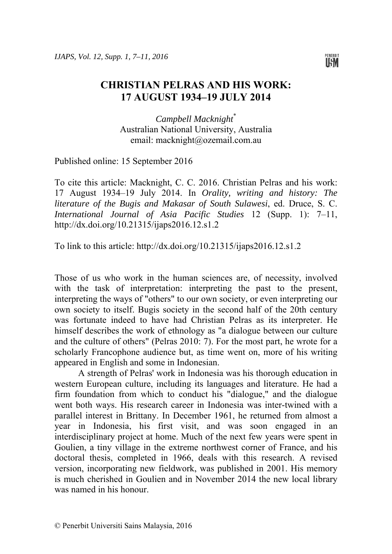

## **CHRISTIAN PELRAS AND HIS WORK: 17 AUGUST 1934–19 JULY 2014**

*Campbell Macknight*\* Australian National University, Australia email: macknight@ozemail.com.au

Published online: 15 September 2016

To cite this article: Macknight, C. C. 2016. Christian Pelras and his work: 17 August 1934–19 July 2014. In *Orality, writing and history: The literature of the Bugis and Makasar of South Sulawesi*, ed. Druce, S. C. *International Journal of Asia Pacific Studies* 12 (Supp. 1): 7–11, http://dx.doi.org/10.21315/ijaps2016.12.s1.2

To link to this article: http://dx.doi.org/10.21315/ijaps2016.12.s1.2

Those of us who work in the human sciences are, of necessity, involved with the task of interpretation: interpreting the past to the present, interpreting the ways of "others" to our own society, or even interpreting our own society to itself. Bugis society in the second half of the 20th century was fortunate indeed to have had Christian Pelras as its interpreter. He himself describes the work of ethnology as "a dialogue between our culture and the culture of others" (Pelras 2010: 7). For the most part, he wrote for a scholarly Francophone audience but, as time went on, more of his writing appeared in English and some in Indonesian.

A strength of Pelras' work in Indonesia was his thorough education in western European culture, including its languages and literature. He had a firm foundation from which to conduct his "dialogue," and the dialogue went both ways. His research career in Indonesia was inter-twined with a parallel interest in Brittany. In December 1961, he returned from almost a year in Indonesia, his first visit, and was soon engaged in an interdisciplinary project at home. Much of the next few years were spent in Goulien, a tiny village in the extreme northwest corner of France, and his doctoral thesis, completed in 1966, deals with this research. A revised version, incorporating new fieldwork, was published in 2001. His memory is much cherished in Goulien and in November 2014 the new local library was named in his honour.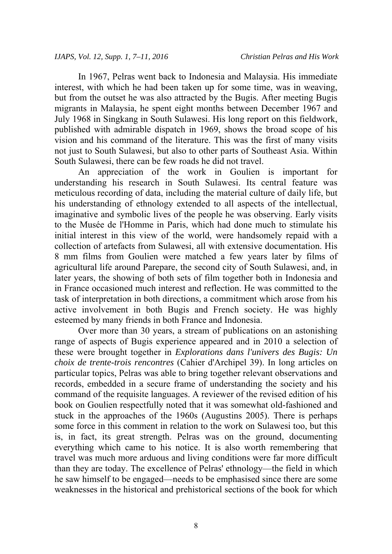In 1967, Pelras went back to Indonesia and Malaysia. His immediate interest, with which he had been taken up for some time, was in weaving, but from the outset he was also attracted by the Bugis. After meeting Bugis migrants in Malaysia, he spent eight months between December 1967 and July 1968 in Singkang in South Sulawesi. His long report on this fieldwork, published with admirable dispatch in 1969, shows the broad scope of his vision and his command of the literature. This was the first of many visits not just to South Sulawesi, but also to other parts of Southeast Asia. Within South Sulawesi, there can be few roads he did not travel.

An appreciation of the work in Goulien is important for understanding his research in South Sulawesi. Its central feature was meticulous recording of data, including the material culture of daily life, but his understanding of ethnology extended to all aspects of the intellectual, imaginative and symbolic lives of the people he was observing. Early visits to the Musée de l'Homme in Paris, which had done much to stimulate his initial interest in this view of the world, were handsomely repaid with a collection of artefacts from Sulawesi, all with extensive documentation. His 8 mm films from Goulien were matched a few years later by films of agricultural life around Parepare, the second city of South Sulawesi, and, in later years, the showing of both sets of film together both in Indonesia and in France occasioned much interest and reflection. He was committed to the task of interpretation in both directions, a commitment which arose from his active involvement in both Bugis and French society. He was highly esteemed by many friends in both France and Indonesia.

Over more than 30 years, a stream of publications on an astonishing range of aspects of Bugis experience appeared and in 2010 a selection of these were brought together in *Explorations dans l'univers des Bugis: Un choix de trente-trois rencontres* (Cahier d'Archipel 39). In long articles on particular topics, Pelras was able to bring together relevant observations and records, embedded in a secure frame of understanding the society and his command of the requisite languages. A reviewer of the revised edition of his book on Goulien respectfully noted that it was somewhat old-fashioned and stuck in the approaches of the 1960s (Augustins 2005). There is perhaps some force in this comment in relation to the work on Sulawesi too, but this is, in fact, its great strength. Pelras was on the ground, documenting everything which came to his notice. It is also worth remembering that travel was much more arduous and living conditions were far more difficult than they are today. The excellence of Pelras' ethnology—the field in which he saw himself to be engaged—needs to be emphasised since there are some weaknesses in the historical and prehistorical sections of the book for which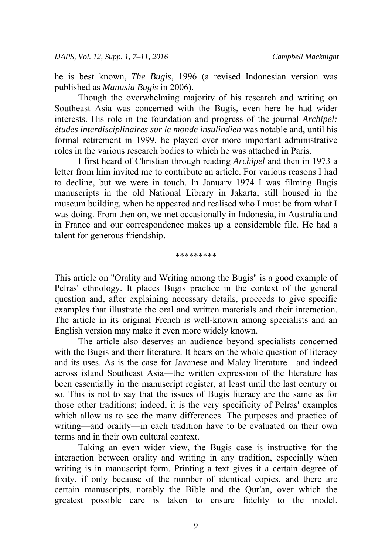he is best known, *The Bugis*, 1996 (a revised Indonesian version was published as *Manusia Bugis* in 2006).

Though the overwhelming majority of his research and writing on Southeast Asia was concerned with the Bugis, even here he had wider interests. His role in the foundation and progress of the journal *Archipel: études interdisciplinaires sur le monde insulindien* was notable and, until his formal retirement in 1999, he played ever more important administrative roles in the various research bodies to which he was attached in Paris.

I first heard of Christian through reading *Archipel* and then in 1973 a letter from him invited me to contribute an article. For various reasons I had to decline, but we were in touch. In January 1974 I was filming Bugis manuscripts in the old National Library in Jakarta, still housed in the museum building, when he appeared and realised who I must be from what I was doing. From then on, we met occasionally in Indonesia, in Australia and in France and our correspondence makes up a considerable file. He had a talent for generous friendship.

## \*\*\*\*\*\*\*\*\*

This article on "Orality and Writing among the Bugis" is a good example of Pelras' ethnology. It places Bugis practice in the context of the general question and, after explaining necessary details, proceeds to give specific examples that illustrate the oral and written materials and their interaction. The article in its original French is well-known among specialists and an English version may make it even more widely known.

The article also deserves an audience beyond specialists concerned with the Bugis and their literature. It bears on the whole question of literacy and its uses. As is the case for Javanese and Malay literature—and indeed across island Southeast Asia—the written expression of the literature has been essentially in the manuscript register, at least until the last century or so. This is not to say that the issues of Bugis literacy are the same as for those other traditions; indeed, it is the very specificity of Pelras' examples which allow us to see the many differences. The purposes and practice of writing—and orality—in each tradition have to be evaluated on their own terms and in their own cultural context.

Taking an even wider view, the Bugis case is instructive for the interaction between orality and writing in any tradition, especially when writing is in manuscript form. Printing a text gives it a certain degree of fixity, if only because of the number of identical copies, and there are certain manuscripts, notably the Bible and the Qur'an, over which the greatest possible care is taken to ensure fidelity to the model.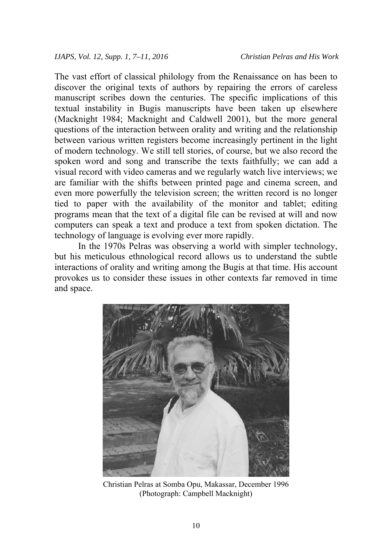The vast effort of classical philology from the Renaissance on has been to discover the original texts of authors by repairing the errors of careless manuscript scribes down the centuries. The specific implications of this textual instability in Bugis manuscripts have been taken up elsewhere (Macknight 1984; Macknight and Caldwell 2001), but the more general questions of the interaction between orality and writing and the relationship between various written registers become increasingly pertinent in the light of modern technology. We still tell stories, of course, but we also record the spoken word and song and transcribe the texts faithfully; we can add a visual record with video cameras and we regularly watch live interviews; we are familiar with the shifts between printed page and cinema screen, and even more powerfully the television screen; the written record is no longer tied to paper with the availability of the monitor and tablet; editing programs mean that the text of a digital file can be revised at will and now computers can speak a text and produce a text from spoken dictation. The technology of language is evolving ever more rapidly.

In the 1970s Pelras was observing a world with simpler technology, but his meticulous ethnological record allows us to understand the subtle interactions of orality and writing among the Bugis at that time. His account provokes us to consider these issues in other contexts far removed in time and space.



Christian Pelras at Somba Opu, Makassar, December 1996 (Photograph: Campbell Macknight)